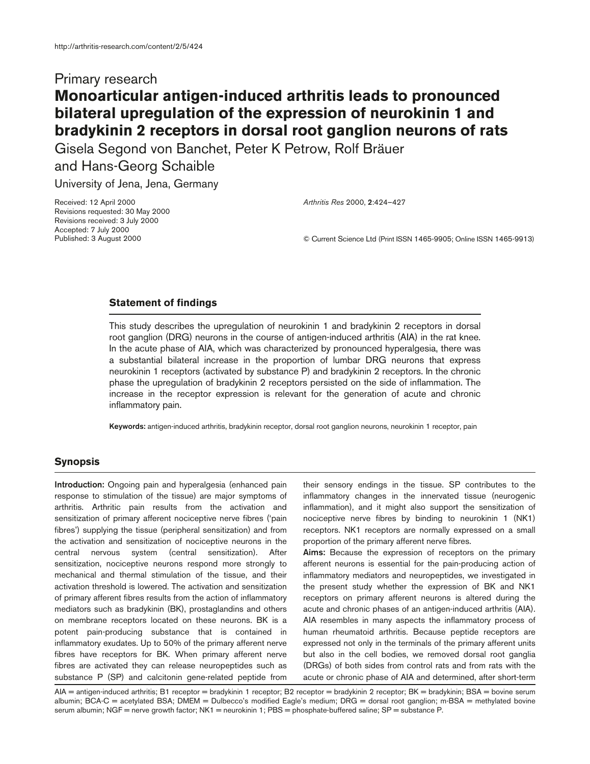# Primary research **Monoarticular antigen-induced arthritis leads to pronounced bilateral upregulation of the expression of neurokinin 1 and bradykinin 2 receptors in dorsal root ganglion neurons of rats**

Gisela Segond von Banchet, Peter K Petrow, Rolf Bräuer and Hans-Georg Schaible

University of Jena, Jena, Germany

Received: 12 April 2000 Revisions requested: 30 May 2000 Revisions received: 3 July 2000 Accepted: 7 July 2000 Published: 3 August 2000

*Arthritis Res* 2000, **2**:424–427

© Current Science Ltd (Print ISSN 1465-9905; Online ISSN 1465-9913)

# **Statement of findings**

This study describes the upregulation of neurokinin 1 and bradykinin 2 receptors in dorsal root ganglion (DRG) neurons in the course of antigen-induced arthritis (AIA) in the rat knee. In the acute phase of AIA, which was characterized by pronounced hyperalgesia, there was a substantial bilateral increase in the proportion of lumbar DRG neurons that express neurokinin 1 receptors (activated by substance P) and bradykinin 2 receptors. In the chronic phase the upregulation of bradykinin 2 receptors persisted on the side of inflammation. The increase in the receptor expression is relevant for the generation of acute and chronic inflammatory pain.

**Keywords:** antigen-induced arthritis, bradykinin receptor, dorsal root ganglion neurons, neurokinin 1 receptor, pain

# **Synopsis**

**Introduction:** Ongoing pain and hyperalgesia (enhanced pain response to stimulation of the tissue) are major symptoms of arthritis. Arthritic pain results from the activation and sensitization of primary afferent nociceptive nerve fibres ('pain fibres') supplying the tissue (peripheral sensitization) and from the activation and sensitization of nociceptive neurons in the central nervous system (central sensitization). After sensitization, nociceptive neurons respond more strongly to mechanical and thermal stimulation of the tissue, and their activation threshold is lowered. The activation and sensitization of primary afferent fibres results from the action of inflammatory mediators such as bradykinin (BK), prostaglandins and others on membrane receptors located on these neurons. BK is a potent pain-producing substance that is contained in inflammatory exudates. Up to 50% of the primary afferent nerve fibres have receptors for BK. When primary afferent nerve fibres are activated they can release neuropeptides such as substance P (SP) and calcitonin gene-related peptide from

their sensory endings in the tissue. SP contributes to the inflammatory changes in the innervated tissue (neurogenic inflammation), and it might also support the sensitization of nociceptive nerve fibres by binding to neurokinin 1 (NK1) receptors. NK1 receptors are normally expressed on a small proportion of the primary afferent nerve fibres.

**Aims:** Because the expression of receptors on the primary afferent neurons is essential for the pain-producing action of inflammatory mediators and neuropeptides, we investigated in the present study whether the expression of BK and NK1 receptors on primary afferent neurons is altered during the acute and chronic phases of an antigen-induced arthritis (AIA). AIA resembles in many aspects the inflammatory process of human rheumatoid arthritis. Because peptide receptors are expressed not only in the terminals of the primary afferent units but also in the cell bodies, we removed dorsal root ganglia (DRGs) of both sides from control rats and from rats with the acute or chronic phase of AIA and determined, after short-term

AIA = antigen-induced arthritis; B1 receptor = bradykinin 1 receptor; B2 receptor = bradykinin 2 receptor; BK = bradykinin; BSA = bovine serum albumin; BCA-C = acetylated BSA; DMEM = Dulbecco's modified Eagle's medium; DRG = dorsal root ganglion; m-BSA = methylated bovine serum albumin; NGF = nerve growth factor; NK1 = neurokinin 1; PBS = phosphate-buffered saline; SP = substance P.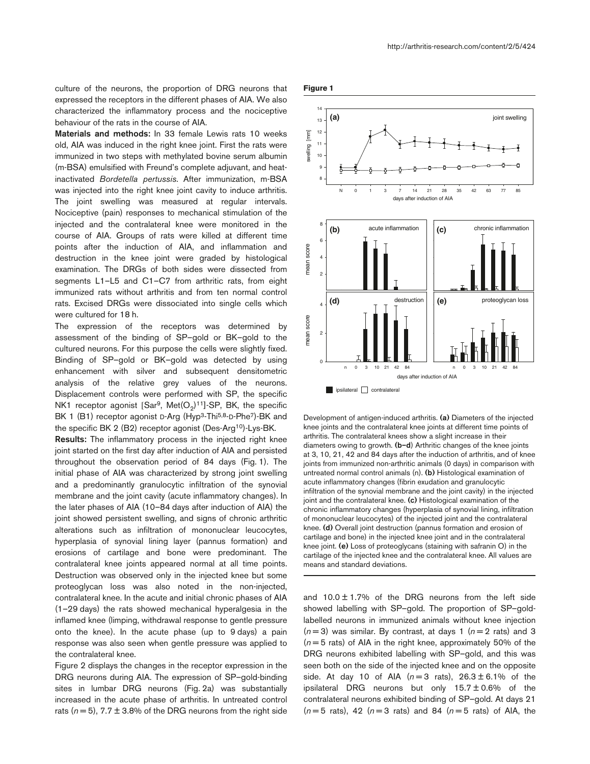culture of the neurons, the proportion of DRG neurons that expressed the receptors in the different phases of AIA. We also characterized the inflammatory process and the nociceptive behaviour of the rats in the course of AIA.

**Materials and methods:** In 33 female Lewis rats 10 weeks old, AIA was induced in the right knee joint. First the rats were immunized in two steps with methylated bovine serum albumin (m-BSA) emulsified with Freund's complete adjuvant, and heatinactivated *Bordetella pertussis*. After immunization, m-BSA was injected into the right knee joint cavity to induce arthritis. The joint swelling was measured at regular intervals. Nociceptive (pain) responses to mechanical stimulation of the injected and the contralateral knee were monitored in the course of AIA. Groups of rats were killed at different time points after the induction of AIA, and inflammation and destruction in the knee joint were graded by histological examination. The DRGs of both sides were dissected from segments L1–L5 and C1–C7 from arthritic rats, from eight immunized rats without arthritis and from ten normal control rats. Excised DRGs were dissociated into single cells which were cultured for 18 h.

The expression of the receptors was determined by assessment of the binding of SP–gold or BK–gold to the cultured neurons. For this purpose the cells were slightly fixed. Binding of SP–gold or BK–gold was detected by using enhancement with silver and subsequent densitometric analysis of the relative grey values of the neurons. Displacement controls were performed with SP, the specific NK1 receptor agonist  $[ Sar^9, Met(O<sub>2</sub>)<sup>11</sup>]$ -SP, BK, the specific BK 1 (B1) receptor agonist D-Arg (Hyp<sup>3</sup>-Thi<sup>5,8</sup>-D-Phe<sup>7</sup>)-BK and the specific BK 2 (B2) receptor agonist (Des-Arg10)-Lys-BK.

**Results:** The inflammatory process in the injected right knee joint started on the first day after induction of AIA and persisted throughout the observation period of 84 days (Fig. 1). The initial phase of AIA was characterized by strong joint swelling and a predominantly granulocytic infiltration of the synovial membrane and the joint cavity (acute inflammatory changes). In the later phases of AIA (10–84 days after induction of AIA) the joint showed persistent swelling, and signs of chronic arthritic alterations such as infiltration of mononuclear leucocytes, hyperplasia of synovial lining layer (pannus formation) and erosions of cartilage and bone were predominant. The contralateral knee joints appeared normal at all time points. Destruction was observed only in the injected knee but some proteoglycan loss was also noted in the non-injected, contralateral knee. In the acute and initial chronic phases of AIA (1–29 days) the rats showed mechanical hyperalgesia in the inflamed knee (limping, withdrawal response to gentle pressure onto the knee). In the acute phase (up to 9 days) a pain response was also seen when gentle pressure was applied to the contralateral knee.

Figure 2 displays the changes in the receptor expression in the DRG neurons during AIA. The expression of SP–gold-binding sites in lumbar DRG neurons (Fig. 2a) was substantially increased in the acute phase of arthritis. In untreated control rats  $(n=5)$ ,  $7.7 \pm 3.8$ % of the DRG neurons from the right side





Development of antigen-induced arthritis. **(a)** Diameters of the injected knee joints and the contralateral knee joints at different time points of arthritis. The contralateral knees show a slight increase in their diameters owing to growth. **(b–d**) Arthritic changes of the knee joints at 3, 10, 21, 42 and 84 days after the induction of arthritis, and of knee joints from immunized non-arthritic animals (0 days) in comparison with untreated normal control animals (n). **(b)** Histological examination of acute inflammatory changes (fibrin exudation and granulocytic infiltration of the synovial membrane and the joint cavity) in the injected joint and the contralateral knee. **(c)** Histological examination of the chronic inflammatory changes (hyperplasia of synovial lining, infiltration of mononuclear leucocytes) of the injected joint and the contralateral knee. **(d)** Overall joint destruction (pannus formation and erosion of cartilage and bone) in the injected knee joint and in the contralateral knee joint. **(e)** Loss of proteoglycans (staining with safranin O) in the cartilage of the injected knee and the contralateral knee. All values are means and standard deviations.

and  $10.0 \pm 1.7$ % of the DRG neurons from the left side showed labelling with SP–gold. The proportion of SP–goldlabelled neurons in immunized animals without knee injection  $(n=3)$  was similar. By contrast, at days 1  $(n=2 \text{ rats})$  and 3 (*n* = 5 rats) of AIA in the right knee, approximately 50% of the DRG neurons exhibited labelling with SP–gold, and this was seen both on the side of the injected knee and on the opposite side. At day 10 of AIA  $(n=3$  rats),  $26.3 \pm 6.1\%$  of the ipsilateral DRG neurons but only 15.7 ± 0.6% of the contralateral neurons exhibited binding of SP–gold. At days 21 (*n* = 5 rats), 42 (*n* = 3 rats) and 84 (*n* = 5 rats) of AIA, the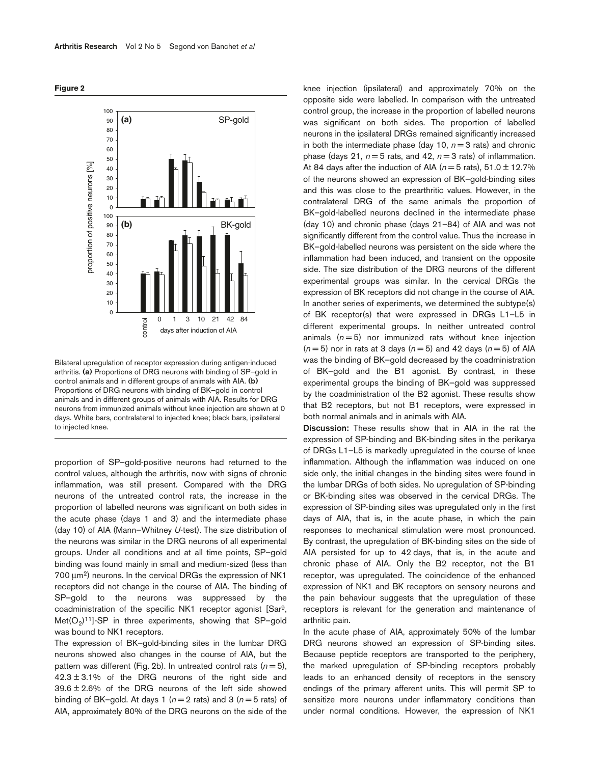



Bilateral upregulation of receptor expression during antigen-induced arthritis. **(a)** Proportions of DRG neurons with binding of SP–gold in control animals and in different groups of animals with AIA. **(b)** Proportions of DRG neurons with binding of BK–gold in control animals and in different groups of animals with AIA. Results for DRG neurons from immunized animals without knee injection are shown at 0 days. White bars, contralateral to injected knee; black bars, ipsilateral to injected knee.

proportion of SP–gold-positive neurons had returned to the control values, although the arthritis, now with signs of chronic inflammation, was still present. Compared with the DRG neurons of the untreated control rats, the increase in the proportion of labelled neurons was significant on both sides in the acute phase (days 1 and 3) and the intermediate phase (day 10) of AIA (Mann–Whitney *U*-test). The size distribution of the neurons was similar in the DRG neurons of all experimental groups. Under all conditions and at all time points, SP–gold binding was found mainly in small and medium-sized (less than 700 µm2) neurons. In the cervical DRGs the expression of NK1 receptors did not change in the course of AIA. The binding of SP–gold to the neurons was suppressed by the coadministration of the specific NK1 receptor agonist [Sar9,  $Met(O<sub>o</sub>)<sup>11</sup>$ -SP in three experiments, showing that SP-gold was bound to NK1 receptors.

The expression of BK–gold-binding sites in the lumbar DRG neurons showed also changes in the course of AIA, but the pattern was different (Fig. 2b). In untreated control rats (*n* = 5), 42.3 ± 3.1% of the DRG neurons of the right side and 39.6 ± 2.6% of the DRG neurons of the left side showed binding of BK–gold. At days 1 ( $n = 2$  rats) and 3 ( $n = 5$  rats) of AIA, approximately 80% of the DRG neurons on the side of the

knee injection (ipsilateral) and approximately 70% on the opposite side were labelled. In comparison with the untreated control group, the increase in the proportion of labelled neurons was significant on both sides. The proportion of labelled neurons in the ipsilateral DRGs remained significantly increased in both the intermediate phase (day 10,  $n = 3$  rats) and chronic phase (days 21,  $n = 5$  rats, and 42,  $n = 3$  rats) of inflammation. At 84 days after the induction of AIA ( $n = 5$  rats),  $51.0 \pm 12.7\%$ of the neurons showed an expression of BK–gold-binding sites and this was close to the prearthritic values. However, in the contralateral DRG of the same animals the proportion of BK–gold-labelled neurons declined in the intermediate phase (day 10) and chronic phase (days 21–84) of AIA and was not significantly different from the control value. Thus the increase in BK–gold-labelled neurons was persistent on the side where the inflammation had been induced, and transient on the opposite side. The size distribution of the DRG neurons of the different experimental groups was similar. In the cervical DRGs the expression of BK receptors did not change in the course of AIA. In another series of experiments, we determined the subtype(s) of BK receptor(s) that were expressed in DRGs L1–L5 in different experimental groups. In neither untreated control animals  $(n=5)$  nor immunized rats without knee injection  $(n=5)$  nor in rats at 3 days  $(n=5)$  and 42 days  $(n=5)$  of AIA was the binding of BK–gold decreased by the coadministration of BK–gold and the B1 agonist. By contrast, in these experimental groups the binding of BK–gold was suppressed by the coadministration of the B2 agonist. These results show that B2 receptors, but not B1 receptors, were expressed in both normal animals and in animals with AIA.

**Discussion:** These results show that in AIA in the rat the expression of SP-binding and BK-binding sites in the perikarya of DRGs L1–L5 is markedly upregulated in the course of knee inflammation. Although the inflammation was induced on one side only, the initial changes in the binding sites were found in the lumbar DRGs of both sides. No upregulation of SP-binding or BK-binding sites was observed in the cervical DRGs. The expression of SP-binding sites was upregulated only in the first days of AIA, that is, in the acute phase, in which the pain responses to mechanical stimulation were most pronounced. By contrast, the upregulation of BK-binding sites on the side of AIA persisted for up to 42 days, that is, in the acute and chronic phase of AIA. Only the B2 receptor, not the B1 receptor, was upregulated. The coincidence of the enhanced expression of NK1 and BK receptors on sensory neurons and the pain behaviour suggests that the upregulation of these receptors is relevant for the generation and maintenance of arthritic pain.

In the acute phase of AIA, approximately 50% of the lumbar DRG neurons showed an expression of SP-binding sites. Because peptide receptors are transported to the periphery, the marked upregulation of SP-binding receptors probably leads to an enhanced density of receptors in the sensory endings of the primary afferent units. This will permit SP to sensitize more neurons under inflammatory conditions than under normal conditions. However, the expression of NK1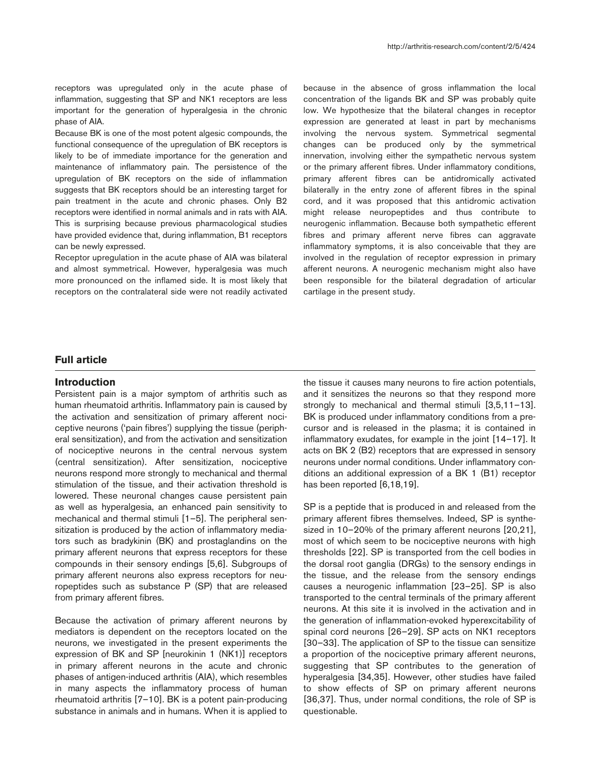receptors was upregulated only in the acute phase of inflammation, suggesting that SP and NK1 receptors are less important for the generation of hyperalgesia in the chronic phase of AIA.

Because BK is one of the most potent algesic compounds, the functional consequence of the upregulation of BK receptors is likely to be of immediate importance for the generation and maintenance of inflammatory pain. The persistence of the upregulation of BK receptors on the side of inflammation suggests that BK receptors should be an interesting target for pain treatment in the acute and chronic phases. Only B2 receptors were identified in normal animals and in rats with AIA. This is surprising because previous pharmacological studies have provided evidence that, during inflammation, B1 receptors can be newly expressed.

Receptor upregulation in the acute phase of AIA was bilateral and almost symmetrical. However, hyperalgesia was much more pronounced on the inflamed side. It is most likely that receptors on the contralateral side were not readily activated because in the absence of gross inflammation the local concentration of the ligands BK and SP was probably quite low. We hypothesize that the bilateral changes in receptor expression are generated at least in part by mechanisms involving the nervous system. Symmetrical segmental changes can be produced only by the symmetrical innervation, involving either the sympathetic nervous system or the primary afferent fibres. Under inflammatory conditions, primary afferent fibres can be antidromically activated bilaterally in the entry zone of afferent fibres in the spinal cord, and it was proposed that this antidromic activation might release neuropeptides and thus contribute to neurogenic inflammation. Because both sympathetic efferent fibres and primary afferent nerve fibres can aggravate inflammatory symptoms, it is also conceivable that they are involved in the regulation of receptor expression in primary afferent neurons. A neurogenic mechanism might also have been responsible for the bilateral degradation of articular cartilage in the present study.

# **Full article**

# **Introduction**

Persistent pain is a major symptom of arthritis such as human rheumatoid arthritis. Inflammatory pain is caused by the activation and sensitization of primary afferent nociceptive neurons ('pain fibres') supplying the tissue (peripheral sensitization), and from the activation and sensitization of nociceptive neurons in the central nervous system (central sensitization). After sensitization, nociceptive neurons respond more strongly to mechanical and thermal stimulation of the tissue, and their activation threshold is lowered. These neuronal changes cause persistent pain as well as hyperalgesia, an enhanced pain sensitivity to mechanical and thermal stimuli [1–5]. The peripheral sensitization is produced by the action of inflammatory mediators such as bradykinin (BK) and prostaglandins on the primary afferent neurons that express receptors for these compounds in their sensory endings [5,6]. Subgroups of primary afferent neurons also express receptors for neuropeptides such as substance P (SP) that are released from primary afferent fibres.

Because the activation of primary afferent neurons by mediators is dependent on the receptors located on the neurons, we investigated in the present experiments the expression of BK and SP [neurokinin 1 (NK1)] receptors in primary afferent neurons in the acute and chronic phases of antigen-induced arthritis (AIA), which resembles in many aspects the inflammatory process of human rheumatoid arthritis [7–10]. BK is a potent pain-producing substance in animals and in humans. When it is applied to

the tissue it causes many neurons to fire action potentials, and it sensitizes the neurons so that they respond more strongly to mechanical and thermal stimuli [3,5,11–13]. BK is produced under inflammatory conditions from a precursor and is released in the plasma; it is contained in inflammatory exudates, for example in the joint [14–17]. It acts on BK 2 (B2) receptors that are expressed in sensory neurons under normal conditions. Under inflammatory conditions an additional expression of a BK 1 (B1) receptor has been reported [6,18,19].

SP is a peptide that is produced in and released from the primary afferent fibres themselves. Indeed, SP is synthesized in 10–20% of the primary afferent neurons [20,21], most of which seem to be nociceptive neurons with high thresholds [22]. SP is transported from the cell bodies in the dorsal root ganglia (DRGs) to the sensory endings in the tissue, and the release from the sensory endings causes a neurogenic inflammation [23–25]. SP is also transported to the central terminals of the primary afferent neurons. At this site it is involved in the activation and in the generation of inflammation-evoked hyperexcitability of spinal cord neurons [26–29]. SP acts on NK1 receptors [30–33]. The application of SP to the tissue can sensitize a proportion of the nociceptive primary afferent neurons, suggesting that SP contributes to the generation of hyperalgesia [34,35]. However, other studies have failed to show effects of SP on primary afferent neurons [36,37]. Thus, under normal conditions, the role of SP is questionable.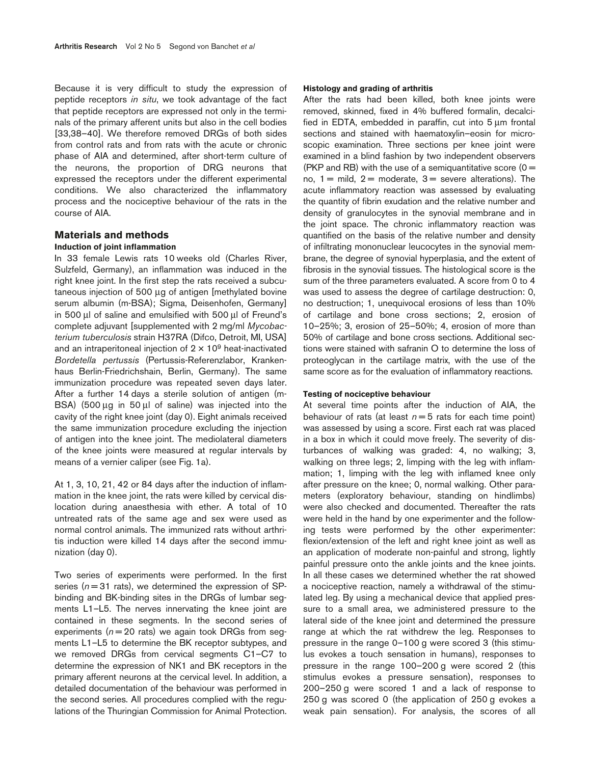Because it is very difficult to study the expression of peptide receptors *in situ*, we took advantage of the fact that peptide receptors are expressed not only in the terminals of the primary afferent units but also in the cell bodies [33,38–40]. We therefore removed DRGs of both sides from control rats and from rats with the acute or chronic phase of AIA and determined, after short-term culture of the neurons, the proportion of DRG neurons that expressed the receptors under the different experimental conditions. We also characterized the inflammatory process and the nociceptive behaviour of the rats in the course of AIA.

# **Materials and methods**

# **Induction of joint inflammation**

In 33 female Lewis rats 10 weeks old (Charles River, Sulzfeld, Germany), an inflammation was induced in the right knee joint. In the first step the rats received a subcutaneous injection of 500 µg of antigen [methylated bovine serum albumin (m-BSA); Sigma, Deisenhofen, Germany] in 500 µl of saline and emulsified with 500 µl of Freund's complete adjuvant [supplemented with 2 mg/ml *Mycobacterium tuberculosis* strain H37RA (Difco, Detroit, MI, USA] and an intraperitoneal injection of  $2 \times 10^9$  heat-inactivated *Bordetella pertussis* (Pertussis-Referenzlabor, Krankenhaus Berlin-Friedrichshain, Berlin, Germany). The same immunization procedure was repeated seven days later. After a further 14 days a sterile solution of antigen (m-BSA) (500 µg in 50 µl of saline) was injected into the cavity of the right knee joint (day 0). Eight animals received the same immunization procedure excluding the injection of antigen into the knee joint. The mediolateral diameters of the knee joints were measured at regular intervals by means of a vernier caliper (see Fig. 1a).

At 1, 3, 10, 21, 42 or 84 days after the induction of inflammation in the knee joint, the rats were killed by cervical dislocation during anaesthesia with ether. A total of 10 untreated rats of the same age and sex were used as normal control animals. The immunized rats without arthritis induction were killed 14 days after the second immunization (day 0).

Two series of experiments were performed. In the first series  $(n=31$  rats), we determined the expression of SPbinding and BK-binding sites in the DRGs of lumbar segments L1–L5. The nerves innervating the knee joint are contained in these segments. In the second series of experiments ( $n = 20$  rats) we again took DRGs from segments L1–L5 to determine the BK receptor subtypes, and we removed DRGs from cervical segments C1–C7 to determine the expression of NK1 and BK receptors in the primary afferent neurons at the cervical level. In addition, a detailed documentation of the behaviour was performed in the second series. All procedures complied with the regulations of the Thuringian Commission for Animal Protection.

## **Histology and grading of arthritis**

After the rats had been killed, both knee joints were removed, skinned, fixed in 4% buffered formalin, decalcified in EDTA, embedded in paraffin, cut into 5 µm frontal sections and stained with haematoxylin–eosin for microscopic examination. Three sections per knee joint were examined in a blind fashion by two independent observers (PKP and RB) with the use of a semiquantitative score  $(0 =$ no,  $1 =$  mild,  $2 =$  moderate,  $3 =$  severe alterations). The acute inflammatory reaction was assessed by evaluating the quantity of fibrin exudation and the relative number and density of granulocytes in the synovial membrane and in the joint space. The chronic inflammatory reaction was quantified on the basis of the relative number and density of infiltrating mononuclear leucocytes in the synovial membrane, the degree of synovial hyperplasia, and the extent of fibrosis in the synovial tissues. The histological score is the sum of the three parameters evaluated. A score from 0 to 4 was used to assess the degree of cartilage destruction: 0, no destruction; 1, unequivocal erosions of less than 10% of cartilage and bone cross sections; 2, erosion of 10–25%; 3, erosion of 25–50%; 4, erosion of more than 50% of cartilage and bone cross sections. Additional sections were stained with safranin O to determine the loss of proteoglycan in the cartilage matrix, with the use of the same score as for the evaluation of inflammatory reactions.

#### **Testing of nociceptive behaviour**

At several time points after the induction of AIA, the behaviour of rats (at least  $n = 5$  rats for each time point) was assessed by using a score. First each rat was placed in a box in which it could move freely. The severity of disturbances of walking was graded: 4, no walking; 3, walking on three legs; 2, limping with the leg with inflammation; 1, limping with the leg with inflamed knee only after pressure on the knee; 0, normal walking. Other parameters (exploratory behaviour, standing on hindlimbs) were also checked and documented. Thereafter the rats were held in the hand by one experimenter and the following tests were performed by the other experimenter: flexion/extension of the left and right knee joint as well as an application of moderate non-painful and strong, lightly painful pressure onto the ankle joints and the knee joints. In all these cases we determined whether the rat showed a nociceptive reaction, namely a withdrawal of the stimulated leg. By using a mechanical device that applied pressure to a small area, we administered pressure to the lateral side of the knee joint and determined the pressure range at which the rat withdrew the leg. Responses to pressure in the range 0–100 g were scored 3 (this stimulus evokes a touch sensation in humans), responses to pressure in the range 100–200 g were scored 2 (this stimulus evokes a pressure sensation), responses to 200–250 g were scored 1 and a lack of response to 250 g was scored 0 (the application of 250 g evokes a weak pain sensation). For analysis, the scores of all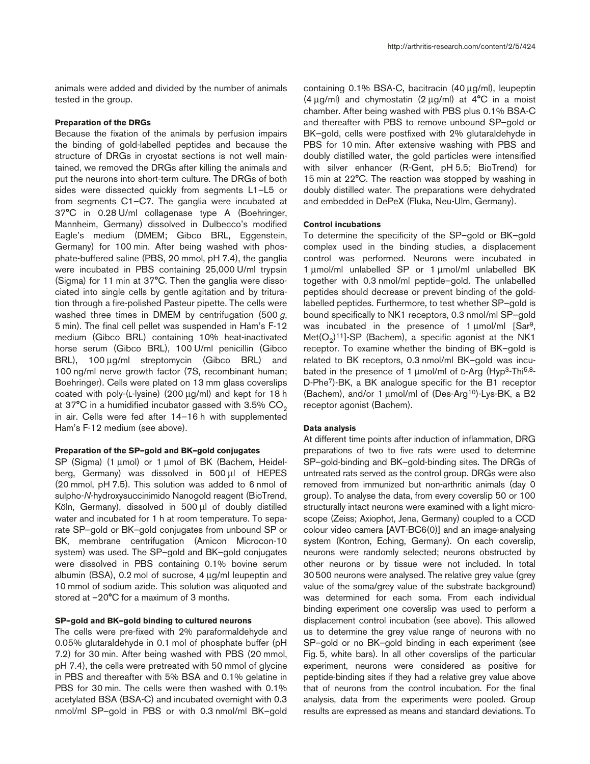animals were added and divided by the number of animals tested in the group.

## **Preparation of the DRGs**

Because the fixation of the animals by perfusion impairs the binding of gold-labelled peptides and because the structure of DRGs in cryostat sections is not well maintained, we removed the DRGs after killing the animals and put the neurons into short-term culture. The DRGs of both sides were dissected quickly from segments L1–L5 or from segments C1–C7. The ganglia were incubated at 37°C in 0.28 U/ml collagenase type A (Boehringer, Mannheim, Germany) dissolved in Dulbecco's modified Eagle's medium (DMEM; Gibco BRL, Eggenstein, Germany) for 100 min. After being washed with phosphate-buffered saline (PBS, 20 mmol, pH 7.4), the ganglia were incubated in PBS containing 25,000 U/ml trypsin (Sigma) for 11 min at 37°C. Then the ganglia were dissociated into single cells by gentle agitation and by trituration through a fire-polished Pasteur pipette. The cells were washed three times in DMEM by centrifugation (500 *g*, 5 min). The final cell pellet was suspended in Ham's F-12 medium (Gibco BRL) containing 10% heat-inactivated horse serum (Gibco BRL), 100 U/ml penicillin (Gibco BRL), 100 µg/ml streptomycin (Gibco BRL) and 100 ng/ml nerve growth factor (7S, recombinant human; Boehringer). Cells were plated on 13 mm glass coverslips coated with poly-(L-lysine) (200 µg/ml) and kept for 18 h at 37 $^{\circ}$ C in a humidified incubator gassed with 3.5%  $CO<sub>2</sub>$ in air. Cells were fed after 14–16 h with supplemented Ham's F-12 medium (see above).

## **Preparation of the SP–gold and BK–gold conjugates**

SP (Sigma) (1 µmol) or 1 µmol of BK (Bachem, Heidelberg, Germany) was dissolved in 500 µl of HEPES (20 mmol, pH 7.5). This solution was added to 6 nmol of sulpho-*N*-hydroxysuccinimido Nanogold reagent (BioTrend, Köln, Germany), dissolved in 500 µl of doubly distilled water and incubated for 1 h at room temperature. To separate SP–gold or BK–gold conjugates from unbound SP or BK, membrane centrifugation (Amicon Microcon-10 system) was used. The SP–gold and BK–gold conjugates were dissolved in PBS containing 0.1% bovine serum albumin (BSA), 0.2 mol of sucrose, 4 µg/ml leupeptin and 10 mmol of sodium azide. This solution was aliquoted and stored at –20°C for a maximum of 3 months.

## **SP–gold and BK–gold binding to cultured neurons**

The cells were pre-fixed with 2% paraformaldehyde and 0.05% glutaraldehyde in 0.1 mol of phosphate buffer (pH 7.2) for 30 min. After being washed with PBS (20 mmol, pH 7.4), the cells were pretreated with 50 mmol of glycine in PBS and thereafter with 5% BSA and 0.1% gelatine in PBS for 30 min. The cells were then washed with 0.1% acetylated BSA (BSA-C) and incubated overnight with 0.3 nmol/ml SP–gold in PBS or with 0.3 nmol/ml BK–gold containing 0.1% BSA-C, bacitracin (40 µg/ml), leupeptin  $(4 \mu g/ml)$  and chymostatin  $(2 \mu g/ml)$  at  $4^{\circ}C$  in a moist chamber. After being washed with PBS plus 0.1% BSA-C and thereafter with PBS to remove unbound SP–gold or BK–gold, cells were postfixed with 2% glutaraldehyde in PBS for 10 min. After extensive washing with PBS and doubly distilled water, the gold particles were intensified with silver enhancer (R-Gent, pH 5.5; BioTrend) for 15 min at 22°C. The reaction was stopped by washing in doubly distilled water. The preparations were dehydrated and embedded in DePeX (Fluka, Neu-Ulm, Germany).

## **Control incubations**

To determine the specificity of the SP–gold or BK–gold complex used in the binding studies, a displacement control was performed. Neurons were incubated in 1 µmol/ml unlabelled SP or 1 µmol/ml unlabelled BK together with 0.3 nmol/ml peptide–gold. The unlabelled peptides should decrease or prevent binding of the goldlabelled peptides. Furthermore, to test whether SP–gold is bound specifically to NK1 receptors, 0.3 nmol/ml SP–gold was incubated in the presence of  $1 \mu$ mol/ml [Sar<sup>9</sup>,  $Met(O<sub>2</sub>)<sup>11</sup>$ -SP (Bachem), a specific agonist at the NK1 receptor. To examine whether the binding of BK–gold is related to BK receptors, 0.3 nmol/ml BK–gold was incubated in the presence of 1  $\mu$ mol/ml of D-Arg (Hyp<sup>3</sup>-Thi<sup>5,8</sup>-D-Phe7)-BK, a BK analogue specific for the B1 receptor (Bachem), and/or 1 µmol/ml of (Des-Arg10)-Lys-BK, a B2 receptor agonist (Bachem).

## **Data analysis**

At different time points after induction of inflammation, DRG preparations of two to five rats were used to determine SP–gold-binding and BK–gold-binding sites. The DRGs of untreated rats served as the control group. DRGs were also removed from immunized but non-arthritic animals (day 0 group). To analyse the data, from every coverslip 50 or 100 structurally intact neurons were examined with a light microscope (Zeiss; Axiophot, Jena, Germany) coupled to a CCD colour video camera [AVT-BC6(0)] and an image-analysing system (Kontron, Eching, Germany). On each coverslip, neurons were randomly selected; neurons obstructed by other neurons or by tissue were not included. In total 30500 neurons were analysed. The relative grey value (grey value of the soma/grey value of the substrate background) was determined for each soma. From each individual binding experiment one coverslip was used to perform a displacement control incubation (see above). This allowed us to determine the grey value range of neurons with no SP–gold or no BK–gold binding in each experiment (see Fig. 5, white bars). In all other coverslips of the particular experiment, neurons were considered as positive for peptide-binding sites if they had a relative grey value above that of neurons from the control incubation. For the final analysis, data from the experiments were pooled. Group results are expressed as means and standard deviations. To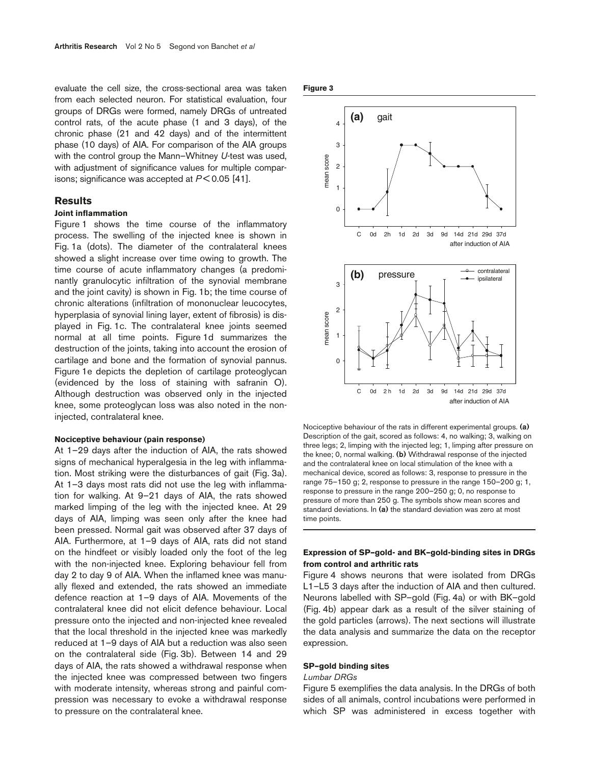evaluate the cell size, the cross-sectional area was taken from each selected neuron. For statistical evaluation, four groups of DRGs were formed, namely DRGs of untreated control rats, of the acute phase (1 and 3 days), of the chronic phase (21 and 42 days) and of the intermittent phase (10 days) of AIA. For comparison of the AIA groups with the control group the Mann–Whitney *U*-test was used, with adjustment of significance values for multiple comparisons; significance was accepted at *P* < 0.05 [41].

## **Results**

## **Joint inflammation**

Figure 1 shows the time course of the inflammatory process. The swelling of the injected knee is shown in Fig. 1a (dots). The diameter of the contralateral knees showed a slight increase over time owing to growth. The time course of acute inflammatory changes (a predominantly granulocytic infiltration of the synovial membrane and the joint cavity) is shown in Fig. 1b; the time course of chronic alterations (infiltration of mononuclear leucocytes, hyperplasia of synovial lining layer, extent of fibrosis) is displayed in Fig. 1c. The contralateral knee joints seemed normal at all time points. Figure 1d summarizes the destruction of the joints, taking into account the erosion of cartilage and bone and the formation of synovial pannus. Figure 1e depicts the depletion of cartilage proteoglycan (evidenced by the loss of staining with safranin O). Although destruction was observed only in the injected knee, some proteoglycan loss was also noted in the noninjected, contralateral knee.

#### **Nociceptive behaviour (pain response)**

At 1–29 days after the induction of AIA, the rats showed signs of mechanical hyperalgesia in the leg with inflammation. Most striking were the disturbances of gait (Fig. 3a). At 1–3 days most rats did not use the leg with inflammation for walking. At 9–21 days of AIA, the rats showed marked limping of the leg with the injected knee. At 29 days of AIA, limping was seen only after the knee had been pressed. Normal gait was observed after 37 days of AIA. Furthermore, at 1–9 days of AIA, rats did not stand on the hindfeet or visibly loaded only the foot of the leg with the non-injected knee. Exploring behaviour fell from day 2 to day 9 of AIA. When the inflamed knee was manually flexed and extended, the rats showed an immediate defence reaction at 1–9 days of AIA. Movements of the contralateral knee did not elicit defence behaviour. Local pressure onto the injected and non-injected knee revealed that the local threshold in the injected knee was markedly reduced at 1–9 days of AIA but a reduction was also seen on the contralateral side (Fig. 3b). Between 14 and 29 days of AIA, the rats showed a withdrawal response when the injected knee was compressed between two fingers with moderate intensity, whereas strong and painful compression was necessary to evoke a withdrawal response to pressure on the contralateral knee.





Nociceptive behaviour of the rats in different experimental groups. **(a)** Description of the gait, scored as follows: 4, no walking; 3, walking on three legs; 2, limping with the injected leg; 1, limping after pressure on the knee; 0, normal walking. **(b)** Withdrawal response of the injected and the contralateral knee on local stimulation of the knee with a mechanical device, scored as follows: 3, response to pressure in the range 75–150 g; 2, response to pressure in the range 150–200 g; 1, response to pressure in the range 200–250 g; 0, no response to pressure of more than 250 g. The symbols show mean scores and standard deviations. In **(a)** the standard deviation was zero at most time points.

# **Expression of SP–gold- and BK–gold-binding sites in DRGs from control and arthritic rats**

Figure 4 shows neurons that were isolated from DRGs L1–L5 3 days after the induction of AIA and then cultured. Neurons labelled with SP–gold (Fig. 4a) or with BK–gold (Fig. 4b) appear dark as a result of the silver staining of the gold particles (arrows). The next sections will illustrate the data analysis and summarize the data on the receptor expression.

## **SP–gold binding sites**

## *Lumbar DRGs*

Figure 5 exemplifies the data analysis. In the DRGs of both sides of all animals, control incubations were performed in which SP was administered in excess together with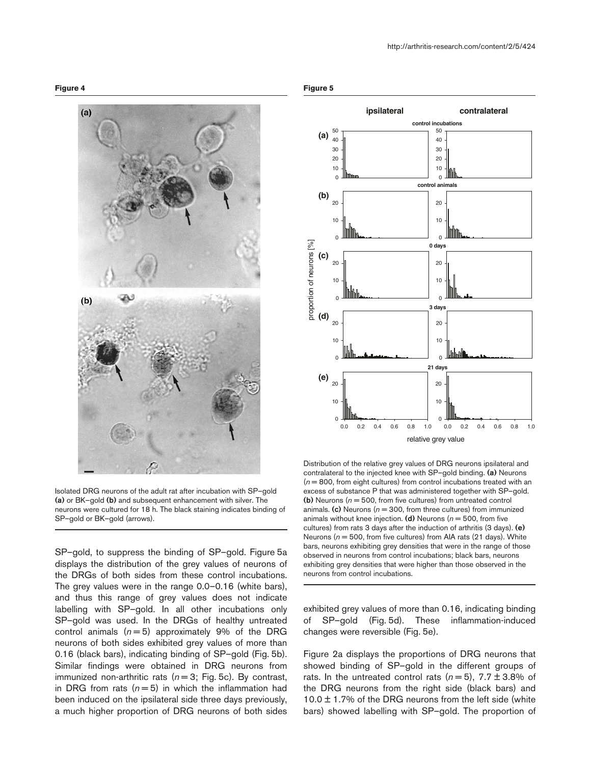

Isolated DRG neurons of the adult rat after incubation with SP–gold **(a)** or BK–gold **(b)** and subsequent enhancement with silver. The neurons were cultured for 18 h. The black staining indicates binding of SP–gold or BK–gold (arrows).

SP–gold, to suppress the binding of SP–gold. Figure 5a displays the distribution of the grey values of neurons of the DRGs of both sides from these control incubations. The grey values were in the range 0.0–0.16 (white bars), and thus this range of grey values does not indicate labelling with SP–gold. In all other incubations only SP–gold was used. In the DRGs of healthy untreated control animals  $(n=5)$  approximately 9% of the DRG neurons of both sides exhibited grey values of more than 0.16 (black bars), indicating binding of SP–gold (Fig. 5b). Similar findings were obtained in DRG neurons from immunized non-arthritic rats ( $n = 3$ ; Fig. 5c). By contrast, in DRG from rats  $(n=5)$  in which the inflammation had been induced on the ipsilateral side three days previously, a much higher proportion of DRG neurons of both sides



Distribution of the relative grey values of DRG neurons ipsilateral and contralateral to the injected knee with SP–gold binding. **(a)** Neurons  $(n = 800$ , from eight cultures) from control incubations treated with an excess of substance P that was administered together with SP–gold. **(b)** Neurons (*n* = 500, from five cultures) from untreated control animals. **(c)** Neurons (*n* = 300, from three cultures) from immunized animals without knee injection. **(d)** Neurons (*n* = 500, from five cultures) from rats 3 days after the induction of arthritis (3 days). **(e)** Neurons (*n* = 500, from five cultures) from AIA rats (21 days). White bars, neurons exhibiting grey densities that were in the range of those observed in neurons from control incubations; black bars, neurons exhibiting grey densities that were higher than those observed in the neurons from control incubations.

exhibited grey values of more than 0.16, indicating binding of SP–gold (Fig. 5d). These inflammation-induced changes were reversible (Fig. 5e).

Figure 2a displays the proportions of DRG neurons that showed binding of SP–gold in the different groups of rats. In the untreated control rats  $(n=5)$ ,  $7.7 \pm 3.8\%$  of the DRG neurons from the right side (black bars) and 10.0  $\pm$  1.7% of the DRG neurons from the left side (white bars) showed labelling with SP–gold. The proportion of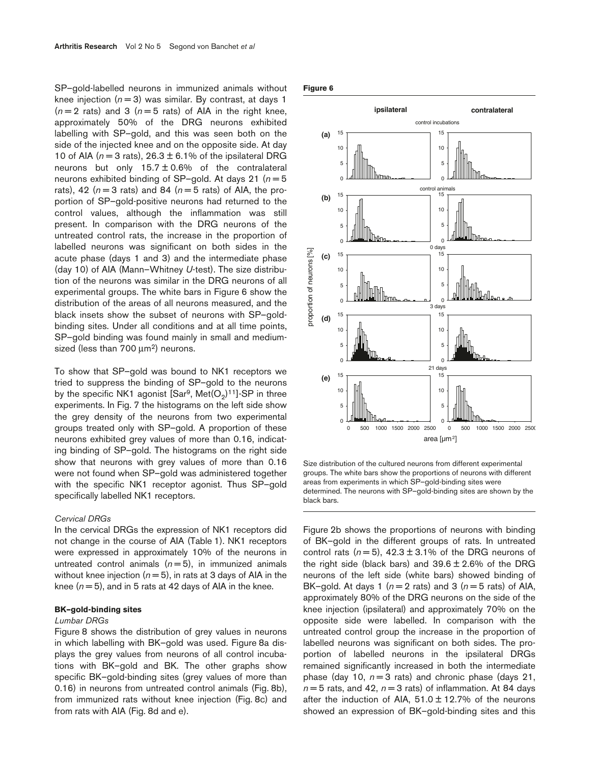SP–gold-labelled neurons in immunized animals without knee injection  $(n=3)$  was similar. By contrast, at days 1  $(n=2 \text{ rats})$  and 3  $(n=5 \text{ rats})$  of AIA in the right knee, approximately 50% of the DRG neurons exhibited labelling with SP–gold, and this was seen both on the side of the injected knee and on the opposite side. At day 10 of AIA ( $n = 3$  rats), 26.3  $\pm$  6.1% of the ipsilateral DRG neurons but only  $15.7 \pm 0.6$ % of the contralateral neurons exhibited binding of SP–gold. At days 21 (*n* = 5 rats), 42 ( $n=3$  rats) and 84 ( $n=5$  rats) of AIA, the proportion of SP–gold-positive neurons had returned to the control values, although the inflammation was still present. In comparison with the DRG neurons of the untreated control rats, the increase in the proportion of labelled neurons was significant on both sides in the acute phase (days 1 and 3) and the intermediate phase (day 10) of AIA (Mann–Whitney *U*-test). The size distribution of the neurons was similar in the DRG neurons of all experimental groups. The white bars in Figure 6 show the distribution of the areas of all neurons measured, and the black insets show the subset of neurons with SP–goldbinding sites. Under all conditions and at all time points, SP–gold binding was found mainly in small and mediumsized (less than  $700 \mu m^2$ ) neurons.

To show that SP–gold was bound to NK1 receptors we tried to suppress the binding of SP–gold to the neurons by the specific NK1 agonist  $[ Sar^9, Met(O<sub>2</sub>)<sup>11</sup>]$ -SP in three experiments. In Fig. 7 the histograms on the left side show the grey density of the neurons from two experimental groups treated only with SP–gold. A proportion of these neurons exhibited grey values of more than 0.16, indicating binding of SP–gold. The histograms on the right side show that neurons with grey values of more than 0.16 were not found when SP–gold was administered together with the specific NK1 receptor agonist. Thus SP–gold specifically labelled NK1 receptors.

## *Cervical DRGs*

In the cervical DRGs the expression of NK1 receptors did not change in the course of AIA (Table 1). NK1 receptors were expressed in approximately 10% of the neurons in untreated control animals  $(n=5)$ , in immunized animals without knee injection  $(n=5)$ , in rats at 3 days of AIA in the knee  $(n=5)$ , and in 5 rats at 42 days of AIA in the knee.

## **BK–gold-binding sites**

#### *Lumbar DRGs*

Figure 8 shows the distribution of grey values in neurons in which labelling with BK–gold was used. Figure 8a displays the grey values from neurons of all control incubations with BK–gold and BK. The other graphs show specific BK–gold-binding sites (grey values of more than 0.16) in neurons from untreated control animals (Fig. 8b), from immunized rats without knee injection (Fig. 8c) and from rats with AIA (Fig. 8d and e).





Size distribution of the cultured neurons from different experimental groups. The white bars show the proportions of neurons with different areas from experiments in which SP–gold-binding sites were determined. The neurons with SP–gold-binding sites are shown by the black bars.

Figure 2b shows the proportions of neurons with binding of BK–gold in the different groups of rats. In untreated control rats  $(n=5)$ ,  $42.3 \pm 3.1$ % of the DRG neurons of the right side (black bars) and  $39.6 \pm 2.6$ % of the DRG neurons of the left side (white bars) showed binding of BK–gold. At days 1 ( $n = 2$  rats) and 3 ( $n = 5$  rats) of AIA, approximately 80% of the DRG neurons on the side of the knee injection (ipsilateral) and approximately 70% on the opposite side were labelled. In comparison with the untreated control group the increase in the proportion of labelled neurons was significant on both sides. The proportion of labelled neurons in the ipsilateral DRGs remained significantly increased in both the intermediate phase (day 10,  $n=3$  rats) and chronic phase (days 21,  $n = 5$  rats, and 42,  $n = 3$  rats) of inflammation. At 84 days after the induction of AIA,  $51.0 \pm 12.7$ % of the neurons showed an expression of BK–gold-binding sites and this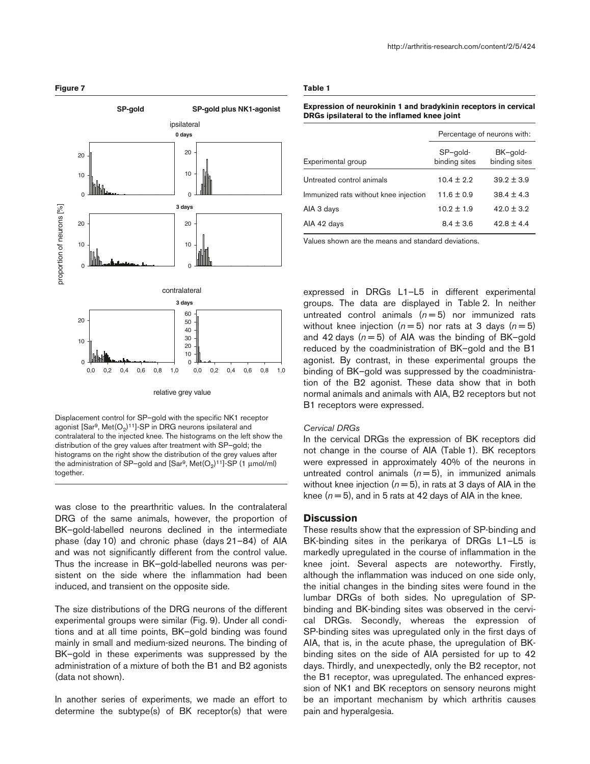



relative grey value

Displacement control for SP–gold with the specific NK1 receptor agonist  $[Sar<sup>9</sup>, Met(O<sub>2</sub>)<sup>11</sup>]-SP$  in DRG neurons ipsilateral and contralateral to the injected knee. The histograms on the left show the distribution of the grey values after treatment with SP–gold; the histograms on the right show the distribution of the grey values after the administration of SP-gold and  $[Sar<sup>9</sup>, Met(O<sub>2</sub>)<sup>11</sup>]-SP(1 \mu mol/ml)$ together.

was close to the prearthritic values. In the contralateral DRG of the same animals, however, the proportion of BK–gold-labelled neurons declined in the intermediate phase (day 10) and chronic phase (days 21–84) of AIA and was not significantly different from the control value. Thus the increase in BK–gold-labelled neurons was persistent on the side where the inflammation had been induced, and transient on the opposite side.

The size distributions of the DRG neurons of the different experimental groups were similar (Fig. 9). Under all conditions and at all time points, BK–gold binding was found mainly in small and medium-sized neurons. The binding of BK–gold in these experiments was suppressed by the administration of a mixture of both the B1 and B2 agonists (data not shown).

In another series of experiments, we made an effort to determine the subtype(s) of BK receptor(s) that were

## **Expression of neurokinin 1 and bradykinin receptors in cervical DRGs ipsilateral to the inflamed knee joint**

|                                       | Percentage of neurons with: |                           |  |
|---------------------------------------|-----------------------------|---------------------------|--|
| Experimental group                    | SP-gold-<br>binding sites   | BK-gold-<br>binding sites |  |
| Untreated control animals             | $10.4 + 2.2$                | $39.2 + 3.9$              |  |
| Immunized rats without knee injection | $11.6 \pm 0.9$              | $38.4 + 4.3$              |  |
| AIA 3 days                            | $10.9 + 1.9$                | $42.0 + 3.2$              |  |
| AIA 42 days                           | $8.4 + 3.6$                 | $42.8 + 4.4$              |  |

Values shown are the means and standard deviations.

expressed in DRGs L1–L5 in different experimental groups. The data are displayed in Table 2. In neither untreated control animals  $(n=5)$  nor immunized rats without knee injection  $(n=5)$  nor rats at 3 days  $(n=5)$ and 42 days  $(n=5)$  of AIA was the binding of BK-gold reduced by the coadministration of BK–gold and the B1 agonist. By contrast, in these experimental groups the binding of BK–gold was suppressed by the coadministration of the B2 agonist. These data show that in both normal animals and animals with AIA, B2 receptors but not B1 receptors were expressed.

#### *Cervical DRGs*

In the cervical DRGs the expression of BK receptors did not change in the course of AIA (Table 1). BK receptors were expressed in approximately 40% of the neurons in untreated control animals  $(n=5)$ , in immunized animals without knee injection  $(n=5)$ , in rats at 3 days of AIA in the knee  $(n=5)$ , and in 5 rats at 42 days of AIA in the knee.

# **Discussion**

These results show that the expression of SP-binding and BK-binding sites in the perikarya of DRGs L1–L5 is markedly upregulated in the course of inflammation in the knee joint. Several aspects are noteworthy. Firstly, although the inflammation was induced on one side only, the initial changes in the binding sites were found in the lumbar DRGs of both sides. No upregulation of SPbinding and BK-binding sites was observed in the cervical DRGs. Secondly, whereas the expression of SP-binding sites was upregulated only in the first days of AIA, that is, in the acute phase, the upregulation of BKbinding sites on the side of AIA persisted for up to 42 days. Thirdly, and unexpectedly, only the B2 receptor, not the B1 receptor, was upregulated. The enhanced expression of NK1 and BK receptors on sensory neurons might be an important mechanism by which arthritis causes pain and hyperalgesia.

proportion of neurons [%]

proportion of neurons [%]

**SP-gold**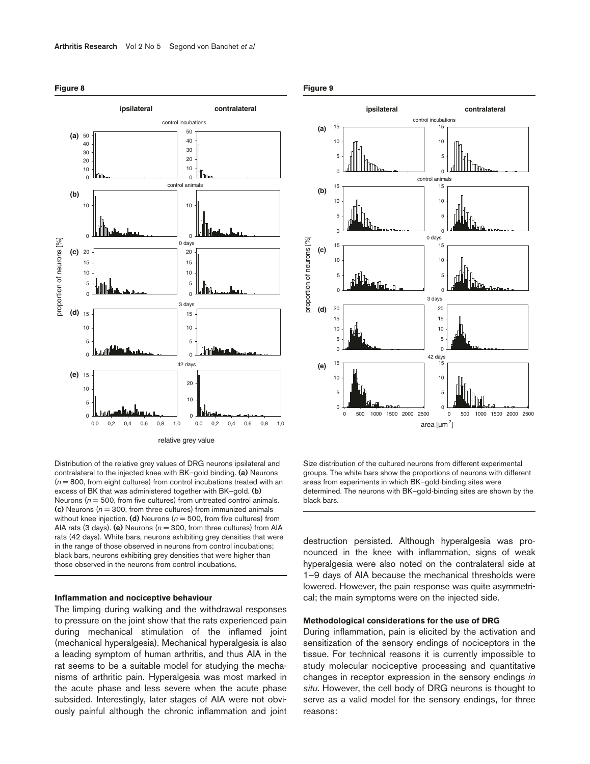

Distribution of the relative grey values of DRG neurons ipsilateral and contralateral to the injected knee with BK–gold binding. **(a)** Neurons (*n* = 800, from eight cultures) from control incubations treated with an excess of BK that was administered together with BK–gold. **(b)** Neurons ( $n = 500$ , from five cultures) from untreated control animals. **(c)** Neurons (*n* = 300, from three cultures) from immunized animals without knee injection. **(d)** Neurons ( $n = 500$ , from five cultures) from AIA rats (3 days). **(e)** Neurons ( $n = 300$ , from three cultures) from AIA rats (42 days). White bars, neurons exhibiting grey densities that were in the range of those observed in neurons from control incubations; black bars, neurons exhibiting grey densities that were higher than those observed in the neurons from control incubations.

## **Inflammation and nociceptive behaviour**

The limping during walking and the withdrawal responses to pressure on the joint show that the rats experienced pain during mechanical stimulation of the inflamed joint (mechanical hyperalgesia). Mechanical hyperalgesia is also a leading symptom of human arthritis, and thus AIA in the rat seems to be a suitable model for studying the mechanisms of arthritic pain. Hyperalgesia was most marked in the acute phase and less severe when the acute phase subsided. Interestingly, later stages of AIA were not obviously painful although the chronic inflammation and joint





Size distribution of the cultured neurons from different experimental groups. The white bars show the proportions of neurons with different areas from experiments in which BK–gold-binding sites were determined. The neurons with BK–gold-binding sites are shown by the black bars.

destruction persisted. Although hyperalgesia was pronounced in the knee with inflammation, signs of weak hyperalgesia were also noted on the contralateral side at 1–9 days of AIA because the mechanical thresholds were lowered. However, the pain response was quite asymmetrical; the main symptoms were on the injected side.

## **Methodological considerations for the use of DRG**

During inflammation, pain is elicited by the activation and sensitization of the sensory endings of nociceptors in the tissue. For technical reasons it is currently impossible to study molecular nociceptive processing and quantitative changes in receptor expression in the sensory endings *in situ*. However, the cell body of DRG neurons is thought to serve as a valid model for the sensory endings, for three reasons: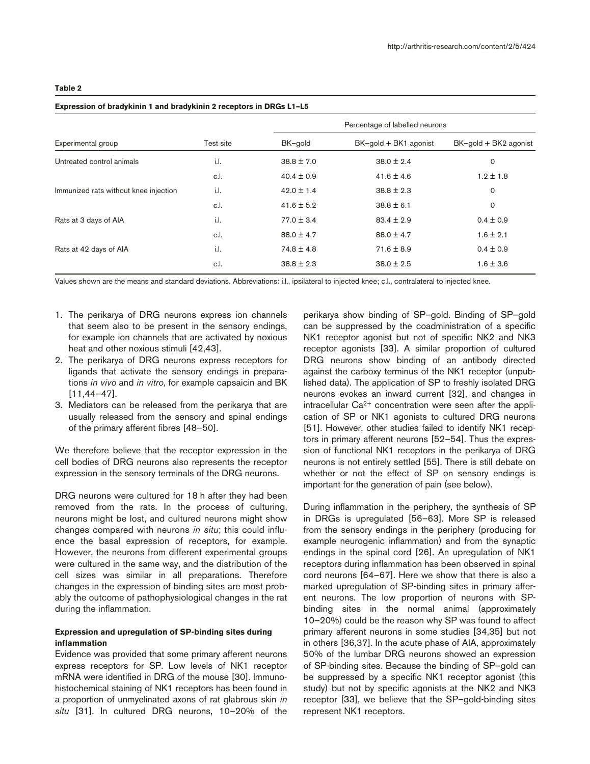| ×<br>. . | ٧ | × |  |
|----------|---|---|--|
|----------|---|---|--|

| Experimental group                    | Test site | Percentage of labelled neurons |                       |                       |
|---------------------------------------|-----------|--------------------------------|-----------------------|-----------------------|
|                                       |           | BK-gold                        | BK-gold + BK1 agonist | BK-gold + BK2 agonist |
| Untreated control animals             | i.l.      | $38.8 \pm 7.0$                 | $38.0 \pm 2.4$        | 0                     |
|                                       | c.l.      | $40.4 \pm 0.9$                 | $41.6 \pm 4.6$        | $1.2 \pm 1.8$         |
| Immunized rats without knee injection | i.l.      | $42.0 \pm 1.4$                 | $38.8 \pm 2.3$        | 0                     |
|                                       | c.l.      | $41.6 \pm 5.2$                 | $38.8 \pm 6.1$        | 0                     |
| Rats at 3 days of AIA                 | i.l.      | $77.0 \pm 3.4$                 | $83.4 \pm 2.9$        | $0.4 \pm 0.9$         |
|                                       | c.l.      | $88.0 \pm 4.7$                 | $88.0 \pm 4.7$        | $1.6 \pm 2.1$         |
| Rats at 42 days of AIA                | i.l.      | $74.8 \pm 4.8$                 | $71.6 \pm 8.9$        | $0.4 \pm 0.9$         |
|                                       | c.l.      | $38.8 \pm 2.3$                 | $38.0 \pm 2.5$        | $1.6 \pm 3.6$         |
|                                       |           |                                |                       |                       |

## **Expression of bradykinin 1 and bradykinin 2 receptors in DRGs L1–L5**

Values shown are the means and standard deviations. Abbreviations: i.l., ipsilateral to injected knee; c.l., contralateral to injected knee.

- 1. The perikarya of DRG neurons express ion channels that seem also to be present in the sensory endings, for example ion channels that are activated by noxious heat and other noxious stimuli [42,43].
- 2. The perikarya of DRG neurons express receptors for ligands that activate the sensory endings in preparations *in vivo* and *in vitro*, for example capsaicin and BK [11,44–47].
- 3. Mediators can be released from the perikarya that are usually released from the sensory and spinal endings of the primary afferent fibres [48–50].

We therefore believe that the receptor expression in the cell bodies of DRG neurons also represents the receptor expression in the sensory terminals of the DRG neurons.

DRG neurons were cultured for 18 h after they had been removed from the rats. In the process of culturing, neurons might be lost, and cultured neurons might show changes compared with neurons *in situ*; this could influence the basal expression of receptors, for example. However, the neurons from different experimental groups were cultured in the same way, and the distribution of the cell sizes was similar in all preparations. Therefore changes in the expression of binding sites are most probably the outcome of pathophysiological changes in the rat during the inflammation.

## **Expression and upregulation of SP-binding sites during inflammation**

Evidence was provided that some primary afferent neurons express receptors for SP. Low levels of NK1 receptor mRNA were identified in DRG of the mouse [30]. Immunohistochemical staining of NK1 receptors has been found in a proportion of unmyelinated axons of rat glabrous skin *in situ* [31]. In cultured DRG neurons, 10–20% of the

perikarya show binding of SP–gold. Binding of SP–gold can be suppressed by the coadministration of a specific NK1 receptor agonist but not of specific NK2 and NK3 receptor agonists [33]. A similar proportion of cultured DRG neurons show binding of an antibody directed against the carboxy terminus of the NK1 receptor (unpublished data). The application of SP to freshly isolated DRG neurons evokes an inward current [32], and changes in intracellular  $Ca<sup>2+</sup>$  concentration were seen after the application of SP or NK1 agonists to cultured DRG neurons [51]. However, other studies failed to identify NK1 receptors in primary afferent neurons [52–54]. Thus the expression of functional NK1 receptors in the perikarya of DRG neurons is not entirely settled [55]. There is still debate on whether or not the effect of SP on sensory endings is important for the generation of pain (see below).

During inflammation in the periphery, the synthesis of SP in DRGs is upregulated [56–63]. More SP is released from the sensory endings in the periphery (producing for example neurogenic inflammation) and from the synaptic endings in the spinal cord [26]. An upregulation of NK1 receptors during inflammation has been observed in spinal cord neurons [64–67]. Here we show that there is also a marked upregulation of SP-binding sites in primary afferent neurons. The low proportion of neurons with SPbinding sites in the normal animal (approximately 10–20%) could be the reason why SP was found to affect primary afferent neurons in some studies [34,35] but not in others [36,37]. In the acute phase of AIA, approximately 50% of the lumbar DRG neurons showed an expression of SP-binding sites. Because the binding of SP–gold can be suppressed by a specific NK1 receptor agonist (this study) but not by specific agonists at the NK2 and NK3 receptor [33], we believe that the SP–gold-binding sites represent NK1 receptors.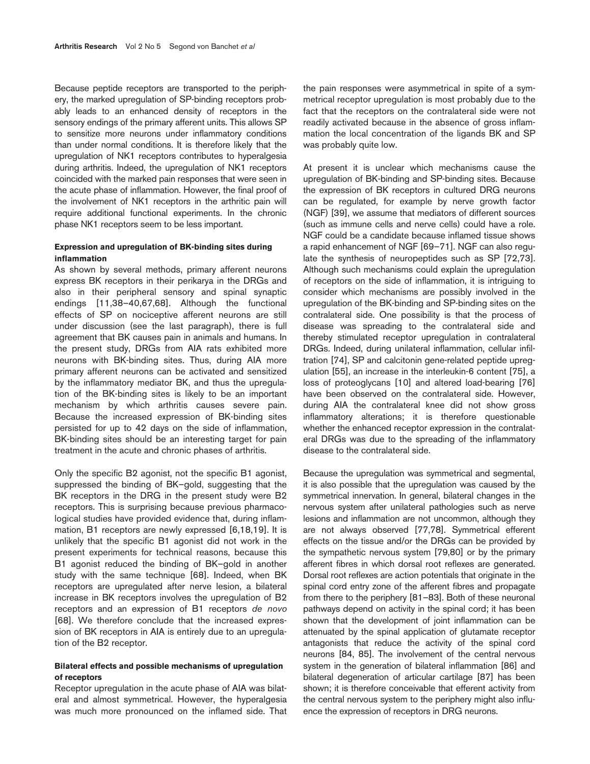Because peptide receptors are transported to the periphery, the marked upregulation of SP-binding receptors probably leads to an enhanced density of receptors in the sensory endings of the primary afferent units. This allows SP to sensitize more neurons under inflammatory conditions than under normal conditions. It is therefore likely that the upregulation of NK1 receptors contributes to hyperalgesia during arthritis. Indeed, the upregulation of NK1 receptors coincided with the marked pain responses that were seen in the acute phase of inflammation. However, the final proof of the involvement of NK1 receptors in the arthritic pain will require additional functional experiments. In the chronic phase NK1 receptors seem to be less important.

# **Expression and upregulation of BK-binding sites during inflammation**

As shown by several methods, primary afferent neurons express BK receptors in their perikarya in the DRGs and also in their peripheral sensory and spinal synaptic endings [11,38–40,67,68]. Although the functional effects of SP on nociceptive afferent neurons are still under discussion (see the last paragraph), there is full agreement that BK causes pain in animals and humans. In the present study, DRGs from AIA rats exhibited more neurons with BK-binding sites. Thus, during AIA more primary afferent neurons can be activated and sensitized by the inflammatory mediator BK, and thus the upregulation of the BK-binding sites is likely to be an important mechanism by which arthritis causes severe pain. Because the increased expression of BK-binding sites persisted for up to 42 days on the side of inflammation, BK-binding sites should be an interesting target for pain treatment in the acute and chronic phases of arthritis.

Only the specific B2 agonist, not the specific B1 agonist, suppressed the binding of BK–gold, suggesting that the BK receptors in the DRG in the present study were B2 receptors. This is surprising because previous pharmacological studies have provided evidence that, during inflammation, B1 receptors are newly expressed [6,18,19]. It is unlikely that the specific B1 agonist did not work in the present experiments for technical reasons, because this B1 agonist reduced the binding of BK–gold in another study with the same technique [68]. Indeed, when BK receptors are upregulated after nerve lesion, a bilateral increase in BK receptors involves the upregulation of B2 receptors and an expression of B1 receptors *de novo* [68]. We therefore conclude that the increased expression of BK receptors in AIA is entirely due to an upregulation of the B2 receptor.

# **Bilateral effects and possible mechanisms of upregulation of receptors**

Receptor upregulation in the acute phase of AIA was bilateral and almost symmetrical. However, the hyperalgesia was much more pronounced on the inflamed side. That the pain responses were asymmetrical in spite of a symmetrical receptor upregulation is most probably due to the fact that the receptors on the contralateral side were not readily activated because in the absence of gross inflammation the local concentration of the ligands BK and SP was probably quite low.

At present it is unclear which mechanisms cause the upregulation of BK-binding and SP-binding sites. Because the expression of BK receptors in cultured DRG neurons can be regulated, for example by nerve growth factor (NGF) [39], we assume that mediators of different sources (such as immune cells and nerve cells) could have a role. NGF could be a candidate because inflamed tissue shows a rapid enhancement of NGF [69–71]. NGF can also regulate the synthesis of neuropeptides such as SP [72,73]. Although such mechanisms could explain the upregulation of receptors on the side of inflammation, it is intriguing to consider which mechanisms are possibly involved in the upregulation of the BK-binding and SP-binding sites on the contralateral side. One possibility is that the process of disease was spreading to the contralateral side and thereby stimulated receptor upregulation in contralateral DRGs. Indeed, during unilateral inflammation, cellular infiltration [74], SP and calcitonin gene-related peptide upregulation [55], an increase in the interleukin-6 content [75], a loss of proteoglycans [10] and altered load-bearing [76] have been observed on the contralateral side. However, during AIA the contralateral knee did not show gross inflammatory alterations; it is therefore questionable whether the enhanced receptor expression in the contralateral DRGs was due to the spreading of the inflammatory disease to the contralateral side.

Because the upregulation was symmetrical and segmental, it is also possible that the upregulation was caused by the symmetrical innervation. In general, bilateral changes in the nervous system after unilateral pathologies such as nerve lesions and inflammation are not uncommon, although they are not always observed [77,78]. Symmetrical efferent effects on the tissue and/or the DRGs can be provided by the sympathetic nervous system [79,80] or by the primary afferent fibres in which dorsal root reflexes are generated. Dorsal root reflexes are action potentials that originate in the spinal cord entry zone of the afferent fibres and propagate from there to the periphery [81–83]. Both of these neuronal pathways depend on activity in the spinal cord; it has been shown that the development of joint inflammation can be attenuated by the spinal application of glutamate receptor antagonists that reduce the activity of the spinal cord neurons [84, 85]. The involvement of the central nervous system in the generation of bilateral inflammation [86] and bilateral degeneration of articular cartilage [87] has been shown; it is therefore conceivable that efferent activity from the central nervous system to the periphery might also influence the expression of receptors in DRG neurons.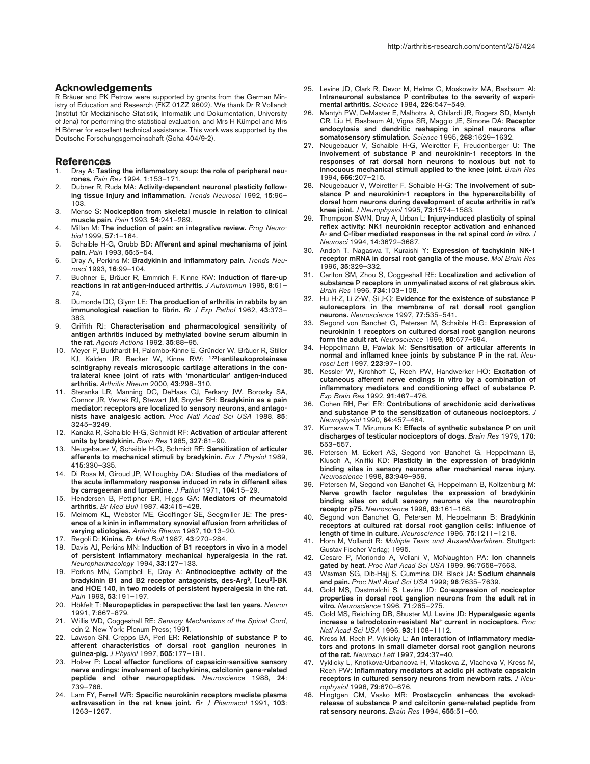#### **Acknowledgements**

R Bräuer and PK Petrow were supported by grants from the German Ministry of Education and Research (FKZ 01ZZ 9602). We thank Dr R Vollandt (Institut für Medizinische Statistik, Informatik und Dokumentation, University of Jena) for performing the statistical evaluation, and Mrs H Kümpel and Mrs H Börner for excellent technical assistance. This work was supported by the Deutsche Forschungsgemeinschaft (Scha 404/9-2).

#### **References**

- 1. Dray A: **Tasting the inflammatory soup: the role of peripheral neurones.** *Pain Rev* 1994, **1**:153–171.
- 2. Dubner R, Ruda MA: **Activity-dependent neuronal plasticity following tissue injury and inflammation.** *Trends Neurosci* 1992, **15**:96– 103.
- 3. Mense S: **Nociception from skeletal muscle in relation to clinical muscle pain.** *Pain* 1993, **54**:241–289.
- 4. Millan M: **The induction of pain: an integrative review.** *Prog Neurobiol* 1999, **57**:1–164.
- 5. Schaible H-G, Grubb BD: **Afferent and spinal mechanisms of joint pain.** *Pain* 1993, **55**:5–54.
- 6. Dray A, Perkins M: **Bradykinin and inflammatory pain.** *Trends Neurosci* 1993, **16**:99–104.
- 7. Buchner E, Bräuer R, Emmrich F, Kinne RW: **Induction of flare-up reactions in rat antigen-induced arthritis.** *J Autoimmun* 1995, **8**:61– 74.
- 8. Dumonde DC, Glynn LE: **The production of arthritis in rabbits by an immunological reaction to fibrin.** *Br J Exp Pathol* 1962, **43**:373– 383.
- 9. Griffith RJ: **Characterisation and pharmacological sensitivity of antigen arthritis induced by methylated bovine serum albumin in the rat.** *Agents Actions* 1992, **35**:88–95.
- 10. Meyer P, Burkhardt H, Palombo-Kinne E, Gründer W, Bräuer R, Stiller KJ, Kalden JR, Becker W, Kinne RW: **123I-antileukoproteinase scintigraphy reveals microscopic cartilage alterations in the contralateral knee joint of rats with 'monarticular' antigen-induced arthritis.** *Arthritis Rheum* 2000, **43**:298–310.
- 11. Steranka LR, Manning DC, DeHaas CJ, Ferkany JW, Borosky SA, Connor JR, Vavrek RJ, Stewart JM, Snyder SH: **Bradykinin as a pain mediator: receptors are localized to sensory neurons, and antagonists have analgesic action.** *Proc Natl Acad Sci USA* 1988, **85**: 3245–3249.
- 12. Kanaka R, Schaible H-G, Schmidt RF: **Activation of articular afferent units by bradykinin.** *Brain Res* 1985, **327**:81–90.
- 13. Neugebauer V, Schaible H-G, Schmidt RF: **Sensitization of articular afferents to mechanical stimuli by bradykinin.** *Eur J Physiol* 1989, **415**:330–335.
- 14. Di Rosa M, Giroud JP, Willoughby DA: **Studies of the mediators of the acute inflammatory response induced in rats in different sites by carrageenan and turpentine.** *J Pathol* 1971, **104**:15–29.
- 15. Hendersen B, Pettipher ER, Higgs GA: **Mediators of rheumatoid arthritis.** *Br Med Bull* 1987, **43**:415–428.
- 16. Melmom KL, Webster ME, Godlfinger SE, Seegmiller JE: **The presence of a kinin in inflammatory synovial effusion from arhritides of varying etiologies.** *Arthritis Rheum* 1967, **10**:13–20.
- 17. Regoli D: **Kinins.** *Br Med Bull* 1987, **43**:270–284.
- 18. Davis AJ, Perkins MN: **Induction of B1 receptors in vivo in a model of persistent inflammatory mechanical hyperalgesia in the rat.** *Neuropharmacology* 1994, **33**:127–133.
- 19. Perkins MN, Campbell E, Dray A: **Antinociceptive activity of the bradykinin B1 and B2 receptor antagonists, des-Arg9, [Leu8]-BK and HOE 140, in two models of persistent hyperalgesia in the rat.** *Pain* 1993, **53**:191–197.
- 20. Hökfelt T: **Neuropeptides in perspective: the last ten years.** *Neuron* 1991, **7**:867–879.
- 21. Willis WD, Coggeshall RE: *Sensory Mechanisms of the Spinal Cord*, edn 2. New York: Plenum Press; 1991.
- 22. Lawson SN, Crepps BA, Perl ER: **Relationship of substance P to afferent characteristics of dorsal root ganglion neurones in guinea-pig.** *J Physiol* 1997, **505**:177–191.
- 23. Holzer P: **Local effector functions of capsaicin-sensitive sensory nerve endings: involvement of tachykinins, calcitonin gene-related peptide and other neuropeptides.** *Neuroscience* 1988, **24**: 739–768.
- 24. Lam FY, Ferrell WR: **Specific neurokinin receptors mediate plasma extravasation in the rat knee joint.** *Br J Pharmacol* 1991, **103**: 1263–1267.
- 25. Levine JD, Clark R, Devor M, Helms C, Moskowitz MA, Basbaum AI: **Intraneuronal substance P contributes to the severity of experimental arthritis.** *Science* 1984, **226**:547–549.
- 26. Mantyh PW, DeMaster E, Malhotra A, Ghilardi JR, Rogers SD, Mantyh CR, Liu H, Basbaum AI, Vigna SR, Maggio JE, Simone DA: **Receptor endocytosis and dendritic reshaping in spinal neurons after somatosensory stimulation.** *Science* 1995, **268**:1629–1632.
- 27. Neugebauer V, Schaible H-G, Weiretter F, Freudenberger U: **The involvement of substance P and neurokinin-1 receptors in the responses of rat dorsal horn neurons to noxious but not to innocuous mechanical stimuli applied to the knee joint.** *Brain Res* 1994, **666**:207–215.
- 28. Neugebauer V, Weiretter F, Schaible H-G: **The involvement of substance P and neurokinin-1 receptors in the hyperexcitability of dorsal horn neurons during development of acute arthritis in rat's knee joint.** *J Neurophysiol* 1995, **73**:1574–1583.
- 29. Thompson SWN, Dray A, Urban L: **Injury-induced plasticity of spinal reflex activity: NK1 neurokinin receptor activation and enhanced A- and C-fiber mediated responses in the rat spinal cord** *in vitro***.** *J Neurosci* 1994, **14**:3672–3687.
- 30. Andoh T, Nagaswa T, Kuraishi Y: **Expression of tachykinin NK-1 receptor mRNA in dorsal root ganglia of the mouse.** *Mol Brain Res* 1996, **35**:329–332.
- 31. Carlton SM, Zhou S, Coggeshall RE: **Localization and activation of substance P receptors in unmyelinated axons of rat glabrous skin.** *Brain Res* 1996, **734**:103–108.
- 32. Hu H-Z, Li Z-W, Si J-Q: **Evidence for the existence of substance P autoreceptors in the membrane of rat dorsal root ganglion neurons.** *Neuroscience* 1997, **77**:535–541.
- 33. Segond von Banchet G, Petersen M, Schaible H-G: **Expression of neurokinin 1 receptors on cultured dorsal root ganglion neurons form the adult rat.** *Neuroscience* 1999, **90**:677–684.
- 34. Heppelmann B, Pawlak M: **Sensitisation of articular afferents in normal and inflamed knee joints by substance P in the rat.** *Neurosci Lett* 1997, **223**:97–100.
- 35. Kessler W, Kirchhoff C, Reeh PW, Handwerker HO: **Excitation of cutaneous afferent nerve endings in vitro by a combination of inflammatory mediators and conditioning effect of substance P.** *Exp Brain Res* 1992, **91**:467–476.
- 36. Cohen RH, Perl ER: **Contributions of arachidonic acid derivatives and substance P to the sensitization of cutaneous nociceptors.** *J Neurophysiol* 1990, **64**:457–464.
- 37. Kumazawa T, Mizumura K: **Effects of synthetic substance P on unit discharges of testicular nociceptors of dogs.** *Brain Res* 1979, **170**: 553–557.
- 38. Petersen M, Eckert AS, Segond von Banchet G, Heppelmann B, Klusch A, Kniffki KD: **Plasticity in the expression of bradykinin binding sites in sensory neurons after mechanical nerve injury.** *Neuroscience* 1998, **83**:949–959.
- 39. Petersen M, Segond von Banchet G, Heppelmann B, Koltzenburg M: **Nerve growth factor regulates the expression of bradykinin binding sites on adult sensory neurons via the neurotrophin receptor p75.** *Neuroscience* 1998, **83**:161–168.
- 40. Segond von Banchet G, Petersen M, Heppelmann B: **Bradykinin receptors at cultured rat dorsal root ganglion cells: influence of length of time in culture.** *Neuroscience* 1996, **75**:1211–1218.
- 41. Horn M, Vollandt R: *Multiple Tests und Auswahlverfahren*. Stuttgart: Gustav Fischer Verlag; 1995.
- 42. Cesare P, Moriondo A, Vellani V, McNaughton PA: **Ion channels gated by heat.** *Proc Natl Acad Sci USA* 1999, **96**:7658–7663.
- 43 Waxman SG, Dib-Hajj S, Cummins DR, Black JA: **Sodium channels and pain.** *Proc Natl Acad Sci USA* 1999; **96**:7635–7639.
- 44. Gold MS, Dastmalchi S, Levine JD: **Co-expression of nociceptor properties in dorsal root ganglion neurons from the adult rat in vitro.** *Neuroscience* 1996, **71**:265–275.
- 45. Gold MS, Reichling DB, Shuster MJ, Levine JD: **Hyperalgesic agents increase a tetrodotoxin-resistant Na+ current in nociceptors.** *Proc Natl Acad Sci USA* 1996, **93**:1108–1112.
- 46. Kress M, Reeh P, Vyklicky L: **An interaction of inflammatory mediators and protons in small diameter dorsal root ganglion neurons of the rat.** *Neurosci Lett* 1997, **224**:37–40.
- 47. Vyklicky L, Knotkova-Urbancova H, Vitaskova Z, Vlachova V, Kress M, Reeh PW: **Inflammatory mediators at acidic pH activate capsaicin receptors in cultured sensory neurons from newborn rats.** *J Neurophysiol* 1998, **79**:670–676.
- 48. Hingtgen CM, Vasko MR: **Prostacyclin enhances the evokedrelease of substance P and calcitonin gene-related peptide from rat sensory neurons.** *Brain Res* 1994, **655**:51–60.